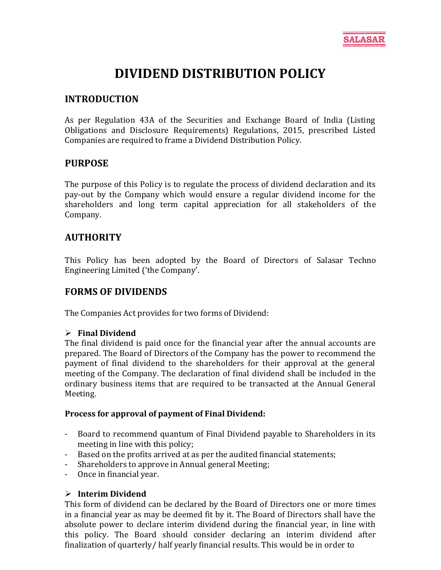

# **DIVIDEND DISTRIBUTION POLICY**

### **INTRODUCTION**

As per Regulation 43A of the Securities and Exchange Board of India (Listing Obligations and Disclosure Requirements) Regulations, 2015, prescribed Listed Companies are required to frame a Dividend Distribution Policy.

# **PURPOSE**

The purpose of this Policy is to regulate the process of dividend declaration and its pay-out by the Company which would ensure a regular dividend income for the shareholders and long term capital appreciation for all stakeholders of the Company.

# **AUTHORITY**

This Policy has been adopted by the Board of Directors of Salasar Techno Engineering Limited ('the Company'.

### **FORMS OF DIVIDENDS**

The Companies Act provides for two forms of Dividend:

### **Final Dividend**

The final dividend is paid once for the financial year after the annual accounts are prepared. The Board of Directors of the Company has the power to recommend the payment of final dividend to the shareholders for their approval at the general meeting of the Company. The declaration of final dividend shall be included in the ordinary business items that are required to be transacted at the Annual General Meeting.

#### **Process for approval of payment of Final Dividend:**

- Board to recommend quantum of Final Dividend payable to Shareholders in its meeting in line with this policy;
- Based on the profits arrived at as per the audited financial statements;
- Shareholders to approve in Annual general Meeting;
- Once in financial year.

### **Interim Dividend**

This form of dividend can be declared by the Board of Directors one or more times in a financial year as may be deemed fit by it. The Board of Directors shall have the absolute power to declare interim dividend during the financial year, in line with this policy. The Board should consider declaring an interim dividend after finalization of quarterly/ half yearly financial results. This would be in order to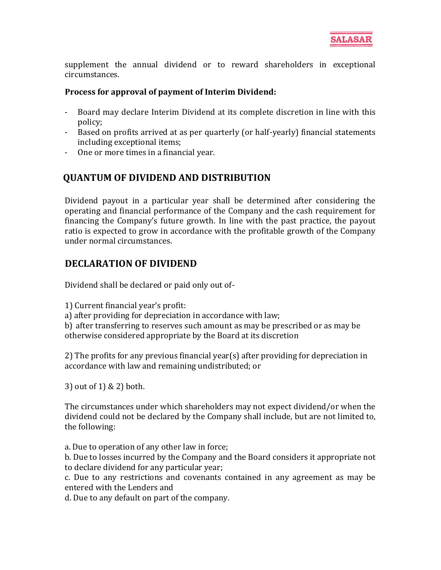supplement the annual dividend or to reward shareholders in exceptional circumstances.

### **Process for approval of payment of Interim Dividend:**

- Board may declare Interim Dividend at its complete discretion in line with this policy;
- Based on profits arrived at as per quarterly (or half-yearly) financial statements including exceptional items;
- One or more times in a financial year.

# **QUANTUM OF DIVIDEND AND DISTRIBUTION**

Dividend payout in a particular year shall be determined after considering the operating and financial performance of the Company and the cash requirement for financing the Company's future growth. In line with the past practice, the payout ratio is expected to grow in accordance with the profitable growth of the Company under normal circumstances.

# **DECLARATION OF DIVIDEND**

Dividend shall be declared or paid only out of-

1) Current financial year's profit:

a) after providing for depreciation in accordance with law;

b) after transferring to reserves such amount as may be prescribed or as may be otherwise considered appropriate by the Board at its discretion

2) The profits for any previous financial year(s) after providing for depreciation in accordance with law and remaining undistributed; or

3) out of 1) & 2) both.

The circumstances under which shareholders may not expect dividend/or when the dividend could not be declared by the Company shall include, but are not limited to, the following:

a. Due to operation of any other law in force;

b. Due to losses incurred by the Company and the Board considers it appropriate not to declare dividend for any particular year;

c. Due to any restrictions and covenants contained in any agreement as may be entered with the Lenders and

d. Due to any default on part of the company.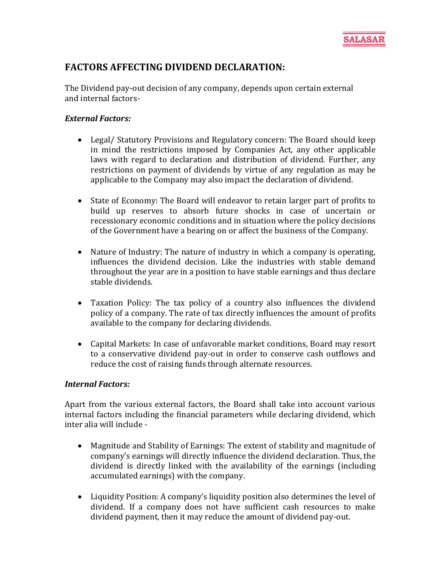

# **FACTORS AFFECTING DIVIDEND DECLARATION:**

The Dividend pay-out decision of any company, depends upon certain external and internal factors-

#### *External Factors:*

- Legal/ Statutory Provisions and Regulatory concern: The Board should keep in mind the restrictions imposed by Companies Act, any other applicable laws with regard to declaration and distribution of dividend. Further, any restrictions on payment of dividends by virtue of any regulation as may be applicable to the Company may also impact the declaration of dividend.
- State of Economy: The Board will endeavor to retain larger part of profits to build up reserves to absorb future shocks in case of uncertain or recessionary economic conditions and in situation where the policy decisions of the Government have a bearing on or affect the business of the Company.
- Nature of Industry: The nature of industry in which a company is operating, influences the dividend decision. Like the industries with stable demand throughout the year are in a position to have stable earnings and thus declare stable dividends.
- Taxation Policy: The tax policy of a country also influences the dividend policy of a company. The rate of tax directly influences the amount of profits available to the company for declaring dividends.
- Capital Markets: In case of unfavorable market conditions, Board may resort to a conservative dividend pay-out in order to conserve cash outflows and reduce the cost of raising funds through alternate resources.

#### *Internal Factors:*

Apart from the various external factors, the Board shall take into account various internal factors including the financial parameters while declaring dividend, which inter alia will include -

- Magnitude and Stability of Earnings: The extent of stability and magnitude of company's earnings will directly influence the dividend declaration. Thus, the dividend is directly linked with the availability of the earnings (including accumulated earnings) with the company.
- Liquidity Position: A company's liquidity position also determines the level of dividend. If a company does not have sufficient cash resources to make dividend payment, then it may reduce the amount of dividend pay-out.